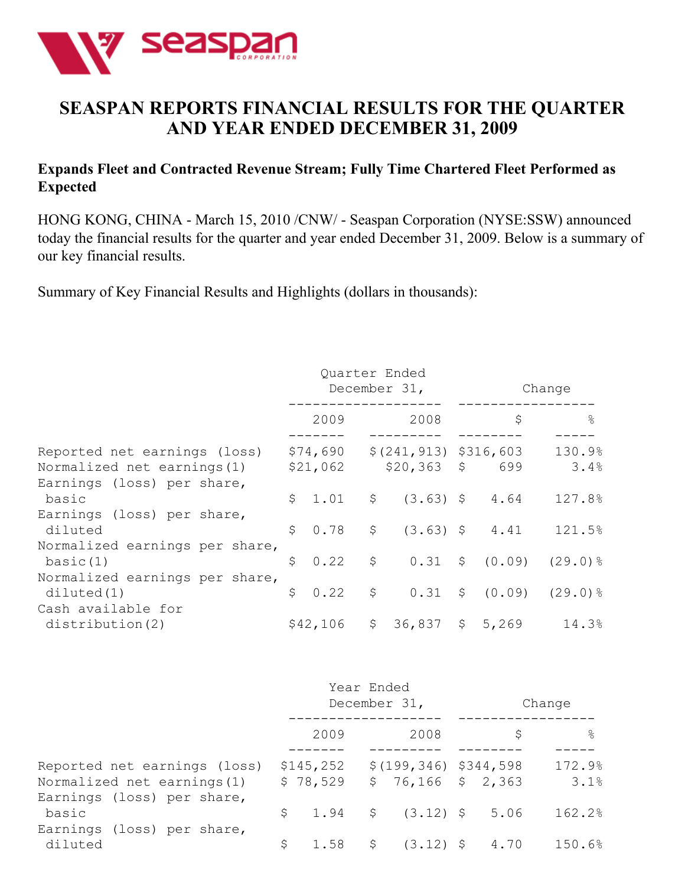

# **SEASPAN REPORTS FINANCIAL RESULTS FOR THE QUARTER AND YEAR ENDED DECEMBER 31, 2009**

### **Expands Fleet and Contracted Revenue Stream; Fully Time Chartered Fleet Performed as Expected**

HONG KONG, CHINA - March 15, 2010 /CNW/ - Seaspan Corporation (NYSE:SSW) announced today the financial results for the quarter and year ended December 31, 2009. Below is a summary of our key financial results.

Summary of Key Financial Results and Highlights (dollars in thousands):

|                                                                                           | Quarter Ended<br>December 31, |                      |              |                                             |  | Change |                                      |
|-------------------------------------------------------------------------------------------|-------------------------------|----------------------|--------------|---------------------------------------------|--|--------|--------------------------------------|
|                                                                                           |                               | 2009                 |              | 2008                                        |  | \$     | $\frac{6}{5}$                        |
| Reported net earnings (loss)<br>Normalized net earnings (1)<br>Earnings (loss) per share, |                               | \$74,690<br>\$21,062 |              | $$(241, 913)$ \$316,603<br>$$20,363$ \$ 699 |  |        | 130.9%<br>3.4%                       |
| basic                                                                                     |                               | \$1.01               | $\varsigma$  | $(3.63)$ \$ 4.64                            |  |        | 127.8%                               |
| Earnings (loss) per share,<br>diluted                                                     | \$                            |                      |              | $0.78$ \$ $(3.63)$ \$ 4.41                  |  |        | 121.5%                               |
| Normalized earnings per share,<br>basic(1)                                                | \$                            | 0.22                 | \$           |                                             |  |        | $0.31 \quad $ (0.09) \quad (29.0)$ % |
| Normalized earnings per share,<br>diluted(1)                                              | \$                            | 0.22                 | $\varsigma$  |                                             |  |        | $0.31 \div (0.09) \div (29.0)$ %     |
| Cash available for<br>distribution(2)                                                     |                               | \$42,106             | $\mathsf{S}$ | $36,837$ \$ 5,269                           |  |        | 14.3%                                |

|                                                                   |                       | Year Ended | December 31,                                    |  | Change         |
|-------------------------------------------------------------------|-----------------------|------------|-------------------------------------------------|--|----------------|
|                                                                   | 2009                  |            | 2008                                            |  | $\frac{6}{5}$  |
| Reported net earnings (loss)<br>Normalized net earnings (1)       | \$145,252<br>\$78,529 |            | $$(199, 346)$ $$344, 598$<br>$$76,166$ $$2,363$ |  | 172.9%<br>3.1% |
| Earnings (loss) per share,<br>basic<br>Earnings (loss) per share, |                       |            | $$1.94$ $$(3.12)$ $$5.06$                       |  | 162.2%         |
| diluted                                                           | \$                    |            | 1.58 $\frac{1}{2}$ (3.12) $\frac{1}{2}$ 4.70    |  | 150.6%         |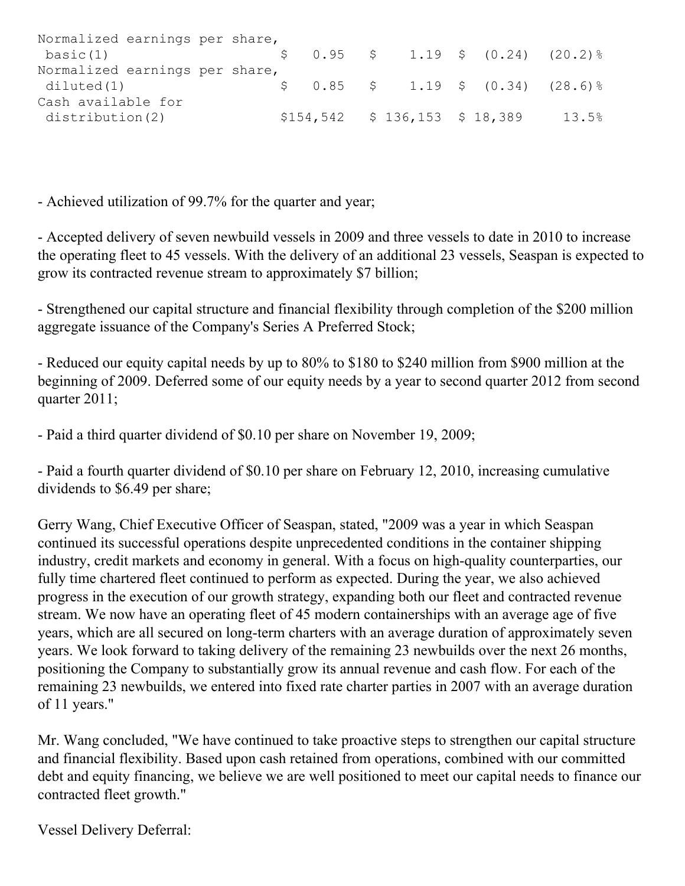| Normalized earnings per share, |  |                                      |  |  |                                                                                        |
|--------------------------------|--|--------------------------------------|--|--|----------------------------------------------------------------------------------------|
| basic(1)                       |  |                                      |  |  | $\begin{array}{ccccccccc} \xi & 0.95 & \xi & 1.19 & \xi & (0.24) & (20.2) \end{array}$ |
| Normalized earnings per share, |  |                                      |  |  |                                                                                        |
| diluted(1)                     |  |                                      |  |  | $$0.85$ $$1.19$ $$0.34)$ $(28.6)\%$                                                    |
| Cash available for             |  |                                      |  |  |                                                                                        |
| distribution(2)                |  | $$154, 542 \t$ 136, 153 \t$ 18, 389$ |  |  | 13.5%                                                                                  |

- Achieved utilization of 99.7% for the quarter and year;

- Accepted delivery of seven newbuild vessels in 2009 and three vessels to date in 2010 to increase the operating fleet to 45 vessels. With the delivery of an additional 23 vessels, Seaspan is expected to grow its contracted revenue stream to approximately \$7 billion;

- Strengthened our capital structure and financial flexibility through completion of the \$200 million aggregate issuance of the Company's Series A Preferred Stock;

- Reduced our equity capital needs by up to 80% to \$180 to \$240 million from \$900 million at the beginning of 2009. Deferred some of our equity needs by a year to second quarter 2012 from second quarter 2011;

- Paid a third quarter dividend of \$0.10 per share on November 19, 2009;

- Paid a fourth quarter dividend of \$0.10 per share on February 12, 2010, increasing cumulative dividends to \$6.49 per share;

Gerry Wang, Chief Executive Officer of Seaspan, stated, "2009 was a year in which Seaspan continued its successful operations despite unprecedented conditions in the container shipping industry, credit markets and economy in general. With a focus on high-quality counterparties, our fully time chartered fleet continued to perform as expected. During the year, we also achieved progress in the execution of our growth strategy, expanding both our fleet and contracted revenue stream. We now have an operating fleet of 45 modern containerships with an average age of five years, which are all secured on long-term charters with an average duration of approximately seven years. We look forward to taking delivery of the remaining 23 newbuilds over the next 26 months, positioning the Company to substantially grow its annual revenue and cash flow. For each of the remaining 23 newbuilds, we entered into fixed rate charter parties in 2007 with an average duration of 11 years."

Mr. Wang concluded, "We have continued to take proactive steps to strengthen our capital structure and financial flexibility. Based upon cash retained from operations, combined with our committed debt and equity financing, we believe we are well positioned to meet our capital needs to finance our contracted fleet growth."

Vessel Delivery Deferral: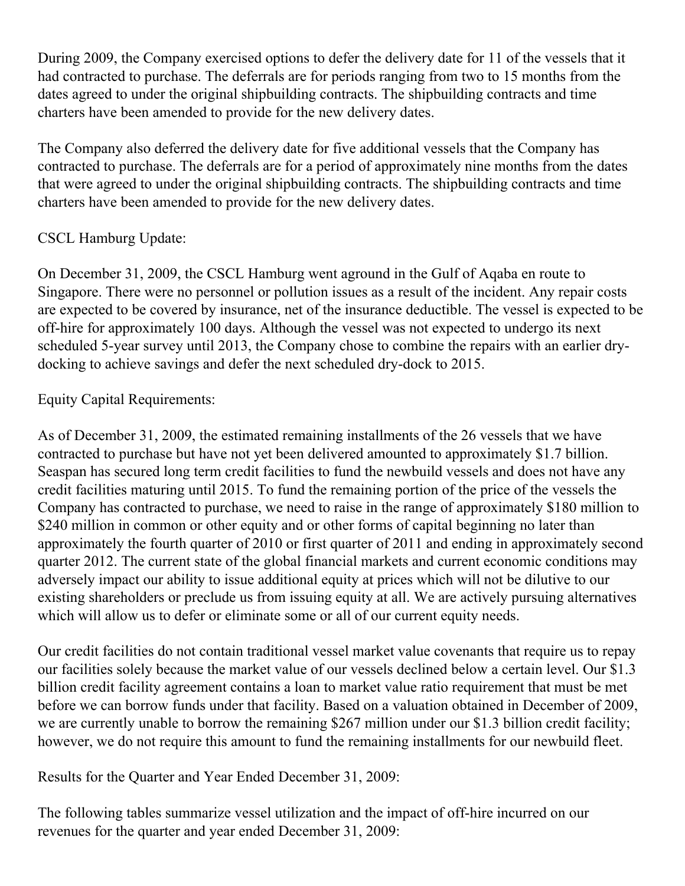During 2009, the Company exercised options to defer the delivery date for 11 of the vessels that it had contracted to purchase. The deferrals are for periods ranging from two to 15 months from the dates agreed to under the original shipbuilding contracts. The shipbuilding contracts and time charters have been amended to provide for the new delivery dates.

The Company also deferred the delivery date for five additional vessels that the Company has contracted to purchase. The deferrals are for a period of approximately nine months from the dates that were agreed to under the original shipbuilding contracts. The shipbuilding contracts and time charters have been amended to provide for the new delivery dates.

# CSCL Hamburg Update:

On December 31, 2009, the CSCL Hamburg went aground in the Gulf of Aqaba en route to Singapore. There were no personnel or pollution issues as a result of the incident. Any repair costs are expected to be covered by insurance, net of the insurance deductible. The vessel is expected to be off-hire for approximately 100 days. Although the vessel was not expected to undergo its next scheduled 5-year survey until 2013, the Company chose to combine the repairs with an earlier drydocking to achieve savings and defer the next scheduled dry-dock to 2015.

Equity Capital Requirements:

As of December 31, 2009, the estimated remaining installments of the 26 vessels that we have contracted to purchase but have not yet been delivered amounted to approximately \$1.7 billion. Seaspan has secured long term credit facilities to fund the newbuild vessels and does not have any credit facilities maturing until 2015. To fund the remaining portion of the price of the vessels the Company has contracted to purchase, we need to raise in the range of approximately \$180 million to \$240 million in common or other equity and or other forms of capital beginning no later than approximately the fourth quarter of 2010 or first quarter of 2011 and ending in approximately second quarter 2012. The current state of the global financial markets and current economic conditions may adversely impact our ability to issue additional equity at prices which will not be dilutive to our existing shareholders or preclude us from issuing equity at all. We are actively pursuing alternatives which will allow us to defer or eliminate some or all of our current equity needs.

Our credit facilities do not contain traditional vessel market value covenants that require us to repay our facilities solely because the market value of our vessels declined below a certain level. Our \$1.3 billion credit facility agreement contains a loan to market value ratio requirement that must be met before we can borrow funds under that facility. Based on a valuation obtained in December of 2009, we are currently unable to borrow the remaining \$267 million under our \$1.3 billion credit facility; however, we do not require this amount to fund the remaining installments for our newbuild fleet.

Results for the Quarter and Year Ended December 31, 2009:

The following tables summarize vessel utilization and the impact of off-hire incurred on our revenues for the quarter and year ended December 31, 2009: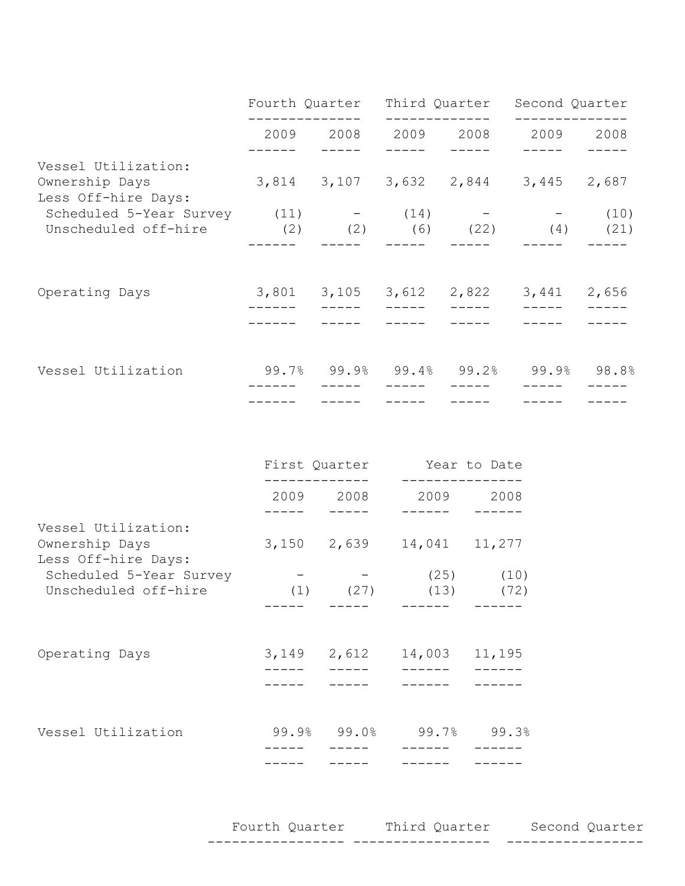|                                                                                                | Fourth Quarter Third Quarter |           |           | Second Quarter                      |       |
|------------------------------------------------------------------------------------------------|------------------------------|-----------|-----------|-------------------------------------|-------|
|                                                                                                |                              | 2009 2008 | 2009 2008 | 2009 2008                           |       |
| Vessel Utilization:<br>Ownership Days<br>Less Off-hire Days:                                   |                              |           |           | 3,814 3,107 3,632 2,844 3,445 2,687 |       |
| Scheduled 5-Year Survey $(11)$ - $(14)$ - - -<br>Unscheduled off-hire $(2)$ $(2)$ $(6)$ $(22)$ |                              |           |           | $(4)$ $(21)$                        | (10)  |
| Operating Days                                                                                 |                              |           |           | 3,801 3,105 3,612 2,822 3,441       | 2,656 |
| Vessel Utilization                                                                             |                              |           |           | 99.7% 99.9% 99.4% 99.2% 99.9% 98.8% |       |

|                                       | First Quarter |                                         | Year to Date  |               |
|---------------------------------------|---------------|-----------------------------------------|---------------|---------------|
|                                       | 2009 2008     |                                         |               | 2009 2008     |
| Vessel Utilization:                   |               |                                         |               |               |
| Ownership Days<br>Less Off-hire Days: |               | 3,150 2,639                             | 14,041 11,277 |               |
| Scheduled 5-Year Survey               |               |                                         |               | $(25)$ $(10)$ |
| Unscheduled off-hire                  |               | $(1)$ $(27)$                            | (13)          | (72)          |
|                                       |               |                                         |               |               |
| Operating Days                        |               | 3,149 2,612                             | 14,003 11,195 |               |
|                                       |               |                                         |               |               |
|                                       |               |                                         |               |               |
| Vessel Utilization                    |               | $99.9$ <sup>8</sup> $99.0$ <sup>8</sup> |               | $99.7%$ 99.3% |
|                                       |               |                                         |               |               |

Fourth Quarter Third Quarter Second Quarter ----------------- ----------------- -----------------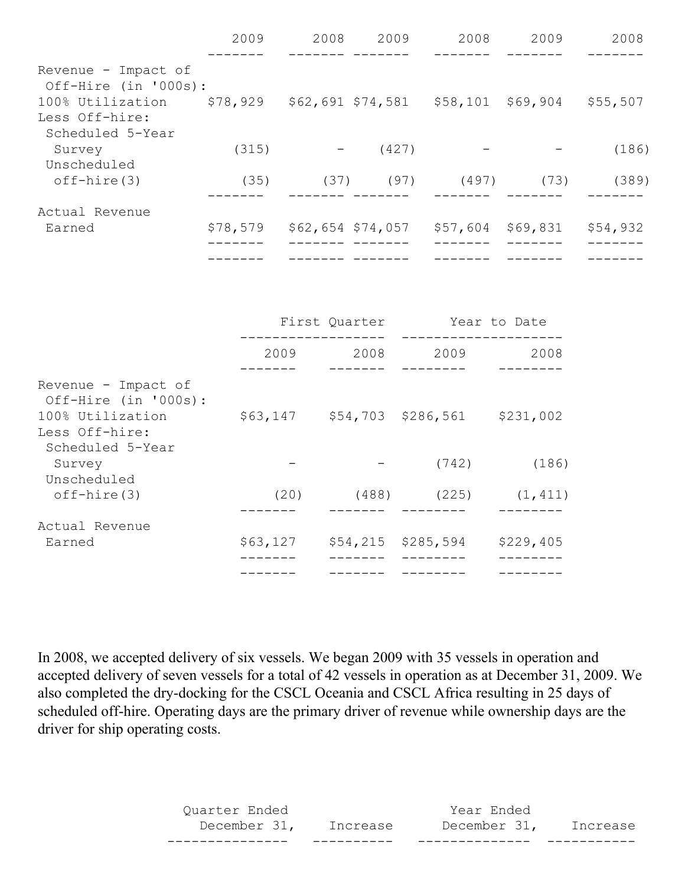|                      | 2009     | 2008 | 2009              | 2008     | 2009     | 2008     |
|----------------------|----------|------|-------------------|----------|----------|----------|
|                      |          |      |                   |          |          |          |
| Revenue - Impact of  |          |      |                   |          |          |          |
| Off-Hire (in '000s): |          |      |                   |          |          |          |
| 100% Utilization     | \$78,929 |      | \$62,691 \$74,581 | \$58,101 | \$69,904 | \$55,507 |
| Less Off-hire:       |          |      |                   |          |          |          |
| Scheduled 5-Year     |          |      |                   |          |          |          |
| Survey               | (315)    |      | (427)             |          |          | (186)    |
| Unscheduled          |          |      |                   |          |          |          |
| $off$ -hire $(3)$    | (35)     | (37) | (97)              | (497)    | (73)     | (389)    |
|                      |          |      |                   |          |          |          |
| Actual Revenue       |          |      |                   |          |          |          |
| Earned               | \$78,579 |      | \$62,654 \$74,057 | \$57,604 | \$69,831 | \$54,932 |
|                      |          |      |                   |          |          |          |
|                      |          |      |                   |          |          |          |

|                                                                 |                             | First Quarter | Year to Date       |           |  |
|-----------------------------------------------------------------|-----------------------------|---------------|--------------------|-----------|--|
|                                                                 | 2009                        | 2008          | 2009               | 2008      |  |
| Revenue - Impact of<br>Off-Hire (in '000s):<br>100% Utilization | \$63,147 \$54,703 \$286,561 |               |                    | \$231,002 |  |
| Less Off-hire:<br>Scheduled 5-Year                              |                             |               |                    |           |  |
| Survey<br>Unscheduled                                           |                             |               | (742)              | (186)     |  |
| $off$ -hire $(3)$                                               | (20)                        |               | $(488)$ (225)      | (1, 411)  |  |
| Actual Revenue                                                  |                             |               |                    |           |  |
| Earned                                                          | \$63,127                    |               | \$54,215 \$285,594 | \$229,405 |  |
|                                                                 |                             |               |                    |           |  |

In 2008, we accepted delivery of six vessels. We began 2009 with 35 vessels in operation and accepted delivery of seven vessels for a total of 42 vessels in operation as at December 31, 2009. We also completed the dry-docking for the CSCL Oceania and CSCL Africa resulting in 25 days of scheduled off-hire. Operating days are the primary driver of revenue while ownership days are the driver for ship operating costs.

> Quarter Ended Year Ended December 31, Increase December 31, Increase --------------- ---------- -------------- -----------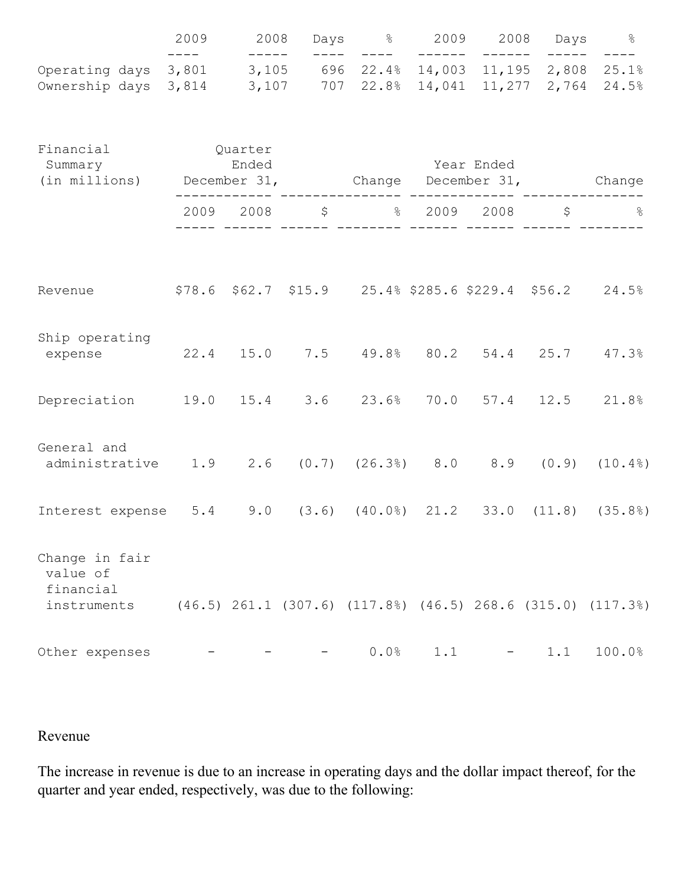|                                                                                             | 2009     | 2008                                                                                                                                                                                                                                                                                                                                                           |                         | Days % 2009 2008 Days %                                                                                                                                                                                                                                                                                                                                                                                                      |         |                   |        |                                                                                                                                                                                                                                                                                                                                                                                                             |
|---------------------------------------------------------------------------------------------|----------|----------------------------------------------------------------------------------------------------------------------------------------------------------------------------------------------------------------------------------------------------------------------------------------------------------------------------------------------------------------|-------------------------|------------------------------------------------------------------------------------------------------------------------------------------------------------------------------------------------------------------------------------------------------------------------------------------------------------------------------------------------------------------------------------------------------------------------------|---------|-------------------|--------|-------------------------------------------------------------------------------------------------------------------------------------------------------------------------------------------------------------------------------------------------------------------------------------------------------------------------------------------------------------------------------------------------------------|
| Operating days<br>Ownership days 3,814 3,107 707 22.8% 14,041 11,277 2,764 24.5%            | $-- ---$ | $\begin{tabular}{lllllll} \multicolumn{2}{c}{\multicolumn{2}{c}{\multicolumn{2}{c}{\multicolumn{2}{c}{\multicolumn{2}{c}{\multicolumn{2}{c}{\multicolumn{2}{c}{\multicolumn{2}{c}{\multicolumn{2}{c}{\multicolumn{2}{c}{\multicolumn{2}{c}{\multicolumn{2}{c}{\textbf{1}}}}}}}} \quad & \multicolumn{2}{c}{ \multicolumn{2}{c}{\hspace{-2.2ex}} \end{tabular}$ | $\qquad \qquad - - - -$ | $\frac{1}{2} \frac{1}{2} \frac{1}{2} \frac{1}{2} \frac{1}{2} \frac{1}{2} \frac{1}{2} \frac{1}{2} \frac{1}{2} \frac{1}{2} \frac{1}{2} \frac{1}{2} \frac{1}{2} \frac{1}{2} \frac{1}{2} \frac{1}{2} \frac{1}{2} \frac{1}{2} \frac{1}{2} \frac{1}{2} \frac{1}{2} \frac{1}{2} \frac{1}{2} \frac{1}{2} \frac{1}{2} \frac{1}{2} \frac{1}{2} \frac{1}{2} \frac{1}{2} \frac{1}{2} \frac{1}{2} \frac{$<br>3,801 3,105 696 22.4% 14,003 | ------- | -------<br>11,195 | ------ | $\frac{1}{2} \frac{1}{2} \frac{1}{2} \frac{1}{2} \frac{1}{2} \frac{1}{2} \frac{1}{2} \frac{1}{2} \frac{1}{2} \frac{1}{2} \frac{1}{2} \frac{1}{2} \frac{1}{2} \frac{1}{2} \frac{1}{2} \frac{1}{2} \frac{1}{2} \frac{1}{2} \frac{1}{2} \frac{1}{2} \frac{1}{2} \frac{1}{2} \frac{1}{2} \frac{1}{2} \frac{1}{2} \frac{1}{2} \frac{1}{2} \frac{1}{2} \frac{1}{2} \frac{1}{2} \frac{1}{2} \frac{$<br>2,808 25.1% |
| Financial Quarter<br>Summary Ended<br>(in millions) December 31, Change December 31, Change |          |                                                                                                                                                                                                                                                                                                                                                                |                         | <b>Example 2</b> Year Ended                                                                                                                                                                                                                                                                                                                                                                                                  |         |                   |        |                                                                                                                                                                                                                                                                                                                                                                                                             |
|                                                                                             |          |                                                                                                                                                                                                                                                                                                                                                                |                         | $2009$ $2008$ $\frac{1}{5}$ $\frac{2009}{1008}$ $\frac{2008}{1008}$ $\frac{5}{1008}$                                                                                                                                                                                                                                                                                                                                         |         |                   |        |                                                                                                                                                                                                                                                                                                                                                                                                             |
| Revenue                                                                                     |          |                                                                                                                                                                                                                                                                                                                                                                |                         | $$78.6$ $$62.7$ $$15.9$ $25.4%$ $$285.6$ $$229.4$ $$56.2$ $24.5%$                                                                                                                                                                                                                                                                                                                                                            |         |                   |        |                                                                                                                                                                                                                                                                                                                                                                                                             |
| Ship operating<br>expense 22.4 15.0 7.5 49.8% 80.2 54.4 25.7 47.3%                          |          |                                                                                                                                                                                                                                                                                                                                                                |                         |                                                                                                                                                                                                                                                                                                                                                                                                                              |         |                   |        |                                                                                                                                                                                                                                                                                                                                                                                                             |
| Depreciation 19.0 15.4 3.6 23.6% 70.0 57.4 12.5 21.8%                                       |          |                                                                                                                                                                                                                                                                                                                                                                |                         |                                                                                                                                                                                                                                                                                                                                                                                                                              |         |                   |        |                                                                                                                                                                                                                                                                                                                                                                                                             |
| General and<br>administrative 1.9 2.6 (0.7) (26.3%) 8.0 8.9 (0.9) (10.4%)                   |          |                                                                                                                                                                                                                                                                                                                                                                |                         |                                                                                                                                                                                                                                                                                                                                                                                                                              |         |                   |        |                                                                                                                                                                                                                                                                                                                                                                                                             |
| Interest expense 5.4 9.0 (3.6) (40.0%) 21.2 33.0 (11.8) (35.8%)                             |          |                                                                                                                                                                                                                                                                                                                                                                |                         |                                                                                                                                                                                                                                                                                                                                                                                                                              |         |                   |        |                                                                                                                                                                                                                                                                                                                                                                                                             |
| Change in fair<br>value of<br>financial<br>instruments                                      |          |                                                                                                                                                                                                                                                                                                                                                                |                         |                                                                                                                                                                                                                                                                                                                                                                                                                              |         |                   |        | $(46.5)$ 261.1 (307.6) (117.8%) (46.5) 268.6 (315.0) (117.3%)                                                                                                                                                                                                                                                                                                                                               |
| Other expenses                                                                              |          |                                                                                                                                                                                                                                                                                                                                                                |                         | 0.0%                                                                                                                                                                                                                                                                                                                                                                                                                         | 1.1     |                   | 1.1    | 100.0%                                                                                                                                                                                                                                                                                                                                                                                                      |

# Revenue

The increase in revenue is due to an increase in operating days and the dollar impact thereof, for the quarter and year ended, respectively, was due to the following: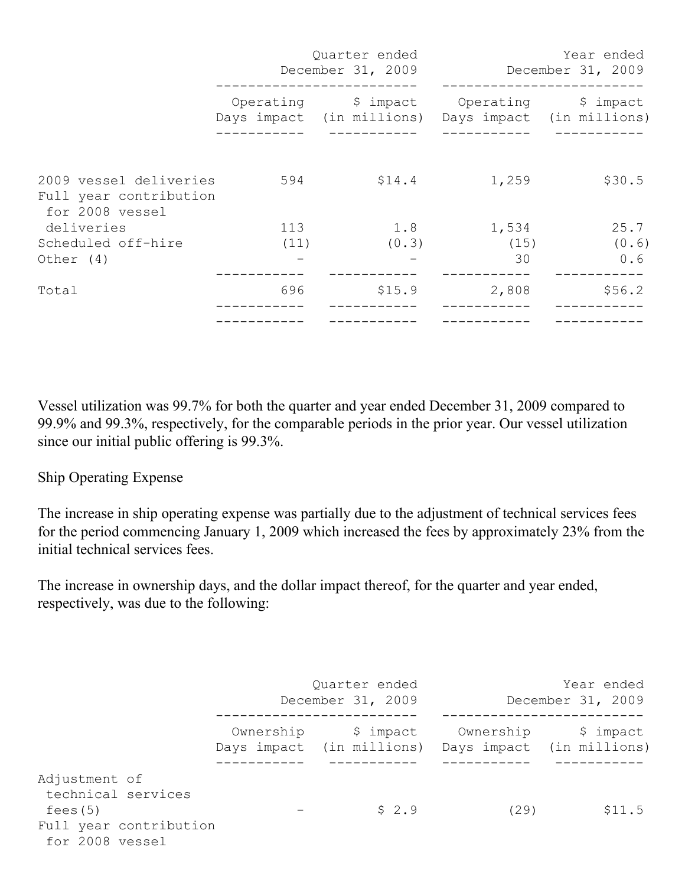|                                                                     |      | Quarter ended<br>December 31, 2009                  | Year ended<br>December 31, 2009 |        |  |  |
|---------------------------------------------------------------------|------|-----------------------------------------------------|---------------------------------|--------|--|--|
|                                                                     |      | Days impact (in millions) Days impact (in millions) |                                 |        |  |  |
| 2009 vessel deliveries<br>Full year contribution<br>for 2008 vessel | 594  | \$14.4                                              | 1,259                           | \$30.5 |  |  |
| deliveries                                                          | 113  | 1.8                                                 | 1,534                           | 25.7   |  |  |
| Scheduled off-hire                                                  | (11) | (0.3)                                               | (15)                            | (0.6)  |  |  |
| Other (4)                                                           |      |                                                     | 30                              | 0.6    |  |  |
| Total                                                               | 696  | \$15.9                                              | 2,808                           | \$56.2 |  |  |
|                                                                     |      |                                                     |                                 |        |  |  |

Vessel utilization was 99.7% for both the quarter and year ended December 31, 2009 compared to 99.9% and 99.3%, respectively, for the comparable periods in the prior year. Our vessel utilization since our initial public offering is 99.3%.

### Ship Operating Expense

The increase in ship operating expense was partially due to the adjustment of technical services fees for the period commencing January 1, 2009 which increased the fees by approximately 23% from the initial technical services fees.

The increase in ownership days, and the dollar impact thereof, for the quarter and year ended, respectively, was due to the following:

|                                                                                              |           | Quarter ended<br>December 31, 2009                               |           | Year ended<br>December 31, 2009 |
|----------------------------------------------------------------------------------------------|-----------|------------------------------------------------------------------|-----------|---------------------------------|
|                                                                                              | Ownership | \$ impact<br>Days impact (in millions) Days impact (in millions) | Ownership | \$ impact                       |
| Adjustment of<br>technical services<br>fees (5)<br>Full year contribution<br>for 2008 vessel |           | \$2.9                                                            | (29)      | \$11.5                          |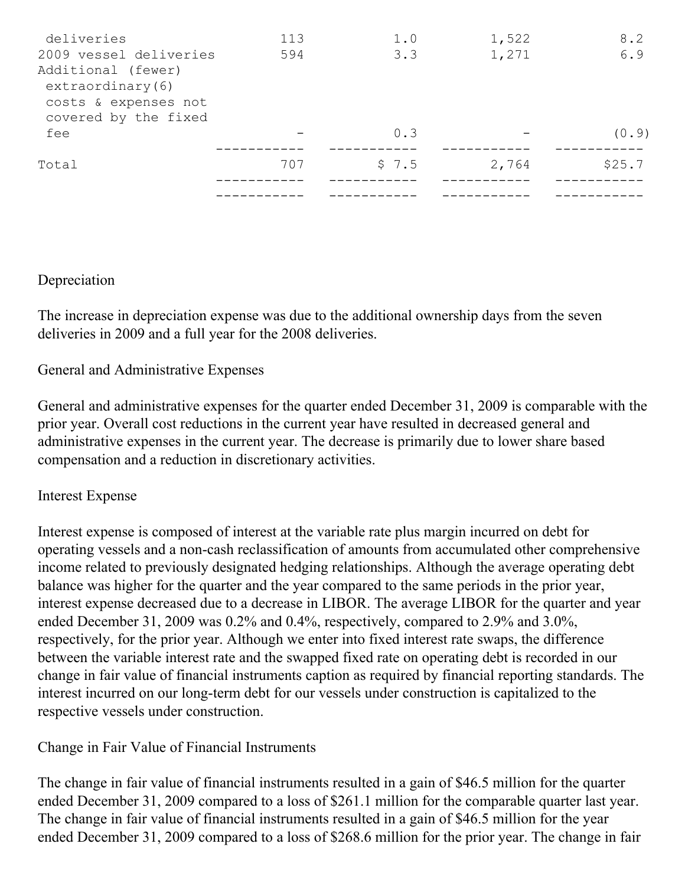| deliveries                                                                             | 113 | 1.0   | 1,522 | 8.2    |
|----------------------------------------------------------------------------------------|-----|-------|-------|--------|
| 2009 vessel deliveries                                                                 | 594 | 3.3   | 1,271 | 6.9    |
| Additional (fewer)<br>extraordinary(6)<br>costs & expenses not<br>covered by the fixed |     |       |       |        |
| fee                                                                                    |     | 0.3   |       | (0.9)  |
| Total                                                                                  | 707 | \$7.5 | 2,764 | \$25.7 |
|                                                                                        |     |       |       |        |

Depreciation

The increase in depreciation expense was due to the additional ownership days from the seven deliveries in 2009 and a full year for the 2008 deliveries.

General and Administrative Expenses

General and administrative expenses for the quarter ended December 31, 2009 is comparable with the prior year. Overall cost reductions in the current year have resulted in decreased general and administrative expenses in the current year. The decrease is primarily due to lower share based compensation and a reduction in discretionary activities.

Interest Expense

Interest expense is composed of interest at the variable rate plus margin incurred on debt for operating vessels and a non-cash reclassification of amounts from accumulated other comprehensive income related to previously designated hedging relationships. Although the average operating debt balance was higher for the quarter and the year compared to the same periods in the prior year, interest expense decreased due to a decrease in LIBOR. The average LIBOR for the quarter and year ended December 31, 2009 was 0.2% and 0.4%, respectively, compared to 2.9% and 3.0%, respectively, for the prior year. Although we enter into fixed interest rate swaps, the difference between the variable interest rate and the swapped fixed rate on operating debt is recorded in our change in fair value of financial instruments caption as required by financial reporting standards. The interest incurred on our long-term debt for our vessels under construction is capitalized to the respective vessels under construction.

Change in Fair Value of Financial Instruments

The change in fair value of financial instruments resulted in a gain of \$46.5 million for the quarter ended December 31, 2009 compared to a loss of \$261.1 million for the comparable quarter last year. The change in fair value of financial instruments resulted in a gain of \$46.5 million for the year ended December 31, 2009 compared to a loss of \$268.6 million for the prior year. The change in fair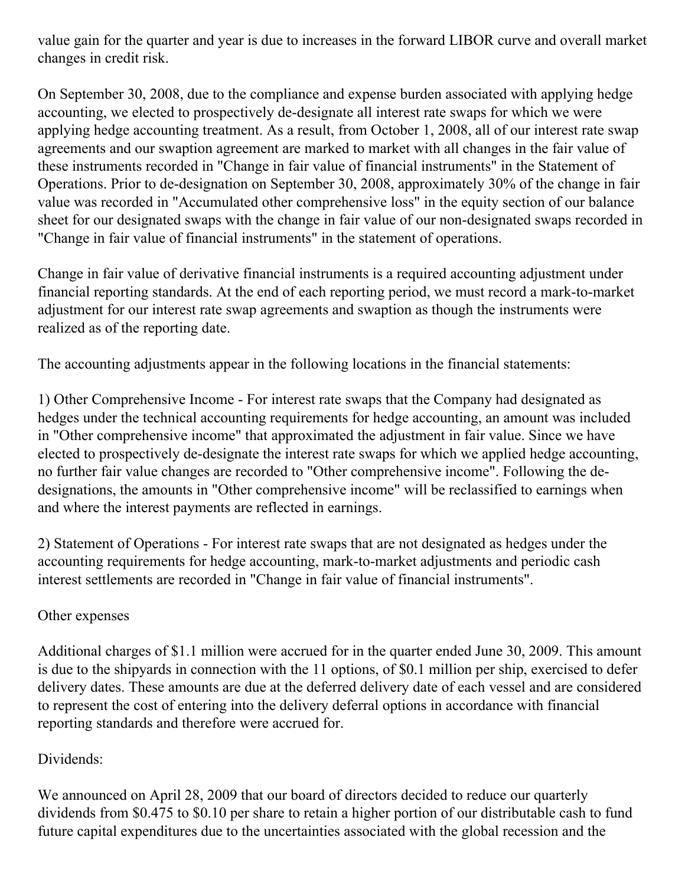value gain for the quarter and year is due to increases in the forward LIBOR curve and overall market changes in credit risk.

On September 30, 2008, due to the compliance and expense burden associated with applying hedge accounting, we elected to prospectively de-designate all interest rate swaps for which we were applying hedge accounting treatment. As a result, from October 1, 2008, all of our interest rate swap agreements and our swaption agreement are marked to market with all changes in the fair value of these instruments recorded in "Change in fair value of financial instruments" in the Statement of Operations. Prior to de-designation on September 30, 2008, approximately 30% of the change in fair value was recorded in "Accumulated other comprehensive loss" in the equity section of our balance sheet for our designated swaps with the change in fair value of our non-designated swaps recorded in "Change in fair value of financial instruments" in the statement of operations.

Change in fair value of derivative financial instruments is a required accounting adjustment under financial reporting standards. At the end of each reporting period, we must record a mark-to-market adjustment for our interest rate swap agreements and swaption as though the instruments were realized as of the reporting date.

The accounting adjustments appear in the following locations in the financial statements:

1) Other Comprehensive Income - For interest rate swaps that the Company had designated as hedges under the technical accounting requirements for hedge accounting, an amount was included in "Other comprehensive income" that approximated the adjustment in fair value. Since we have elected to prospectively de-designate the interest rate swaps for which we applied hedge accounting, no further fair value changes are recorded to "Other comprehensive income". Following the dedesignations, the amounts in "Other comprehensive income" will be reclassified to earnings when and where the interest payments are reflected in earnings.

2) Statement of Operations - For interest rate swaps that are not designated as hedges under the accounting requirements for hedge accounting, mark-to-market adjustments and periodic cash interest settlements are recorded in "Change in fair value of financial instruments".

### Other expenses

Additional charges of \$1.1 million were accrued for in the quarter ended June 30, 2009. This amount is due to the shipyards in connection with the 11 options, of \$0.1 million per ship, exercised to defer delivery dates. These amounts are due at the deferred delivery date of each vessel and are considered to represent the cost of entering into the delivery deferral options in accordance with financial reporting standards and therefore were accrued for.

# Dividends:

We announced on April 28, 2009 that our board of directors decided to reduce our quarterly dividends from \$0.475 to \$0.10 per share to retain a higher portion of our distributable cash to fund future capital expenditures due to the uncertainties associated with the global recession and the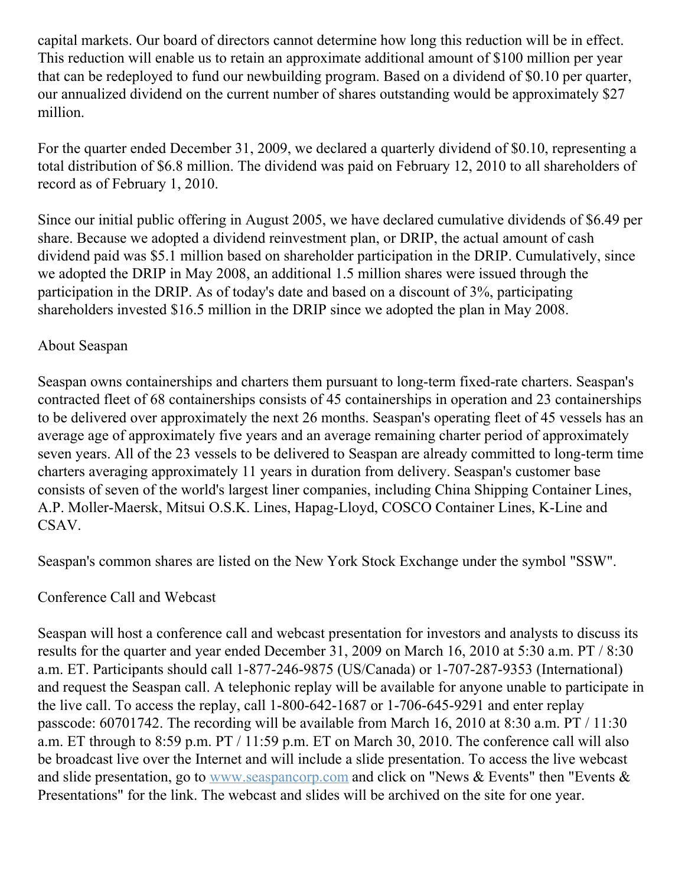capital markets. Our board of directors cannot determine how long this reduction will be in effect. This reduction will enable us to retain an approximate additional amount of \$100 million per year that can be redeployed to fund our newbuilding program. Based on a dividend of \$0.10 per quarter, our annualized dividend on the current number of shares outstanding would be approximately \$27 million.

For the quarter ended December 31, 2009, we declared a quarterly dividend of \$0.10, representing a total distribution of \$6.8 million. The dividend was paid on February 12, 2010 to all shareholders of record as of February 1, 2010.

Since our initial public offering in August 2005, we have declared cumulative dividends of \$6.49 per share. Because we adopted a dividend reinvestment plan, or DRIP, the actual amount of cash dividend paid was \$5.1 million based on shareholder participation in the DRIP. Cumulatively, since we adopted the DRIP in May 2008, an additional 1.5 million shares were issued through the participation in the DRIP. As of today's date and based on a discount of 3%, participating shareholders invested \$16.5 million in the DRIP since we adopted the plan in May 2008.

### About Seaspan

Seaspan owns containerships and charters them pursuant to long-term fixed-rate charters. Seaspan's contracted fleet of 68 containerships consists of 45 containerships in operation and 23 containerships to be delivered over approximately the next 26 months. Seaspan's operating fleet of 45 vessels has an average age of approximately five years and an average remaining charter period of approximately seven years. All of the 23 vessels to be delivered to Seaspan are already committed to long-term time charters averaging approximately 11 years in duration from delivery. Seaspan's customer base consists of seven of the world's largest liner companies, including China Shipping Container Lines, A.P. Moller-Maersk, Mitsui O.S.K. Lines, Hapag-Lloyd, COSCO Container Lines, K-Line and CSAV.

Seaspan's common shares are listed on the New York Stock Exchange under the symbol "SSW".

### Conference Call and Webcast

Seaspan will host a conference call and webcast presentation for investors and analysts to discuss its results for the quarter and year ended December 31, 2009 on March 16, 2010 at 5:30 a.m. PT / 8:30 a.m. ET. Participants should call 1-877-246-9875 (US/Canada) or 1-707-287-9353 (International) and request the Seaspan call. A telephonic replay will be available for anyone unable to participate in the live call. To access the replay, call 1-800-642-1687 or 1-706-645-9291 and enter replay passcode: 60701742. The recording will be available from March 16, 2010 at 8:30 a.m. PT / 11:30 a.m. ET through to 8:59 p.m. PT / 11:59 p.m. ET on March 30, 2010. The conference call will also be broadcast live over the Internet and will include a slide presentation. To access the live webcast and slide presentation, go to [www.seaspancorp.com](http://www.seaspancorp.com/) and click on "News & Events" then "Events & Presentations" for the link. The webcast and slides will be archived on the site for one year.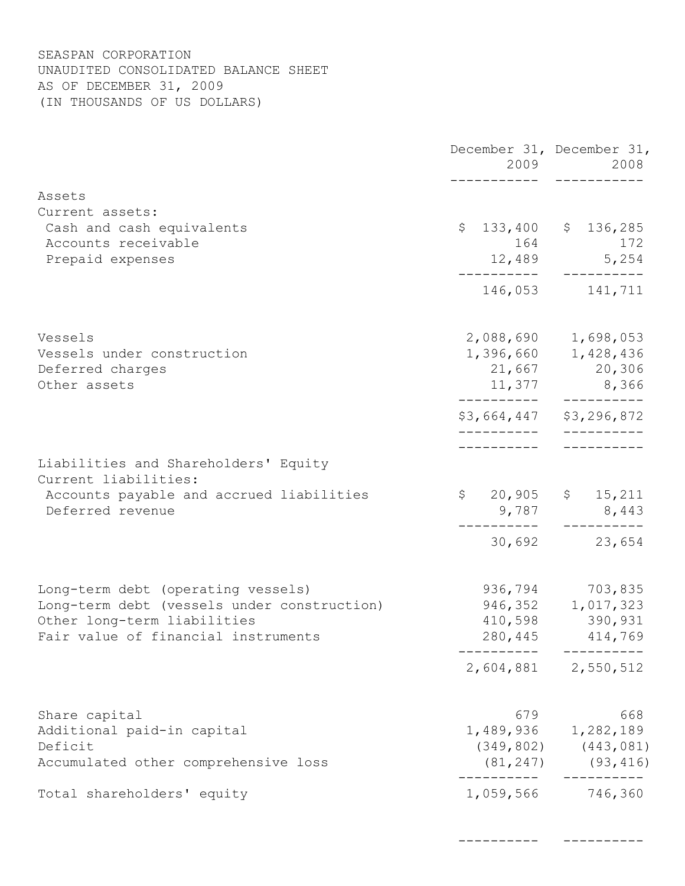#### SEASPAN CORPORATION UNAUDITED CONSOLIDATED BALANCE SHEET AS OF DECEMBER 31, 2009 (IN THOUSANDS OF US DOLLARS)

|                                                              |           | December 31, December 31,<br>2008    |
|--------------------------------------------------------------|-----------|--------------------------------------|
| Assets                                                       |           |                                      |
| Current assets:                                              |           |                                      |
| Cash and cash equivalents                                    |           | $$133,400$ $$136,285$                |
| Accounts receivable                                          |           | 164 172                              |
| Prepaid expenses                                             |           | $12,489$ 5,254                       |
|                                                              |           | 146,053 141,711                      |
| Vessels                                                      |           | 2,088,690 1,698,053                  |
| Vessels under construction                                   |           | 1,396,660 1,428,436                  |
| Deferred charges                                             |           | 21,667 20,306                        |
| Other assets                                                 |           | 11,377 8,366                         |
|                                                              |           | \$3,664,447 \$3,296,872              |
|                                                              |           |                                      |
| Liabilities and Shareholders' Equity<br>Current liabilities: |           |                                      |
| Accounts payable and accrued liabilities<br>Deferred revenue |           | $$20,905$ \$ 15,211<br>$9,787$ 8,443 |
|                                                              |           | 30,692 23,654                        |
| Long-term debt (operating vessels)                           | 936,794   | 703,835                              |
| Long-term debt (vessels under construction)                  |           | 946, 352 1, 017, 323                 |
| Other long-term liabilities                                  |           | 410,598 390,931                      |
| Fair value of financial instruments                          |           | 280, 445 414, 769                    |
|                                                              |           | 2,604,881 2,550,512                  |
| Share capital                                                | 679       | 668                                  |
| Additional paid-in capital                                   |           | 1,489,936 1,282,189                  |
| Deficit                                                      |           | $(349, 802)$ $(443, 081)$            |
| Accumulated other comprehensive loss                         |           | $(81, 247)$ $(93, 416)$              |
| Total shareholders' equity                                   | 1,059,566 | 746,360                              |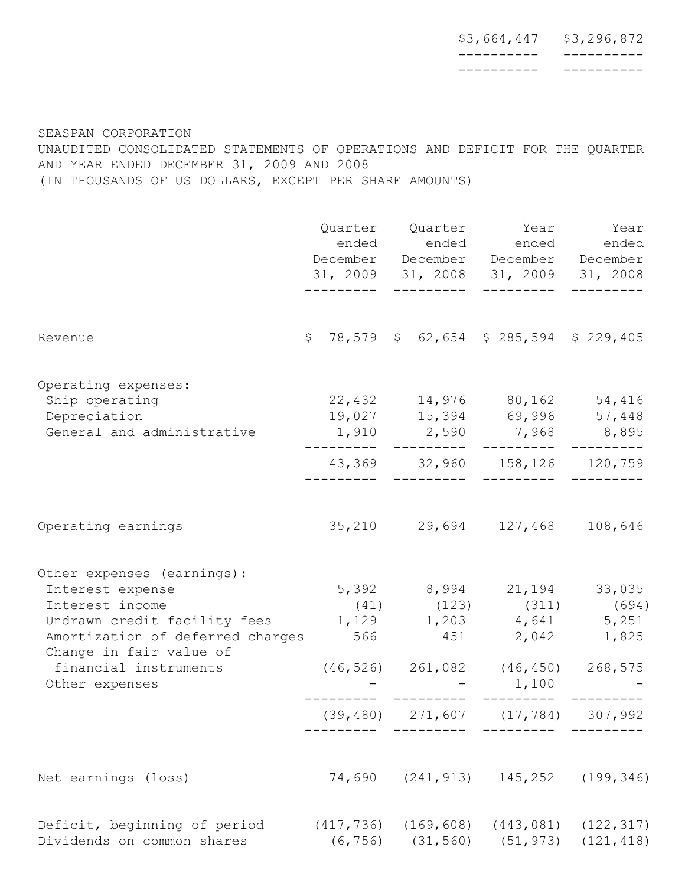| \$3,664,447 | \$3,296,872 |
|-------------|-------------|
|             |             |
|             |             |

SEASPAN CORPORATION UNAUDITED CONSOLIDATED STATEMENTS OF OPERATIONS AND DEFICIT FOR THE QUARTER AND YEAR ENDED DECEMBER 31, 2009 AND 2008 (IN THOUSANDS OF US DOLLARS, EXCEPT PER SHARE AMOUNTS)

|                                                                                                                                                                                                                                     |                        | Quarter Quarter Year Year<br>ended ended ended ended<br>December December December December<br>31, 2009 31, 2008 31, 2009 31, 2008       |                                        |                          |  |
|-------------------------------------------------------------------------------------------------------------------------------------------------------------------------------------------------------------------------------------|------------------------|------------------------------------------------------------------------------------------------------------------------------------------|----------------------------------------|--------------------------|--|
| Revenue                                                                                                                                                                                                                             |                        | $$78,579$ $$62,654$ $$285,594$ $$229,405$                                                                                                |                                        |                          |  |
| Operating expenses:<br>Ship operating<br>Depreciation<br>General and administrative                                                                                                                                                 | --------               | 22,432 14,976 80,162 54,416<br>19,027 15,394 69,996 57,448<br>$1,910$ 2,590 7,968 8,895<br>43,369 32,960 158,126 120,759                 |                                        |                          |  |
| Operating earnings                                                                                                                                                                                                                  |                        | 35,210 29,694 127,468 108,646                                                                                                            |                                        |                          |  |
| Other expenses (earnings):<br>Interest expense<br>Interest income<br>Undrawn credit facility fees 1,129 1,203 4,641 5,251<br>Amortization of deferred charges<br>Change in fair value of<br>financial instruments<br>Other expenses | (39, 480)              | 5,392 8,994 21,194 33,035<br>$(41)$ $(123)$ $(311)$ $(694)$<br>566 451 2,042 1,825<br>$(46, 526)$ 261,082 $(46, 450)$ 268,575<br>271,607 | 1,100<br>(17, 784)                     | 307,992                  |  |
| Net earnings (loss)                                                                                                                                                                                                                 | 74,690                 | (241, 913)                                                                                                                               | 145,252                                | (199, 346)               |  |
| Deficit, beginning of period<br>Dividends on common shares                                                                                                                                                                          | (417, 736)<br>(6, 756) | (31, 560)                                                                                                                                | $(169, 608)$ $(443, 081)$<br>(51, 973) | (122, 317)<br>(121, 418) |  |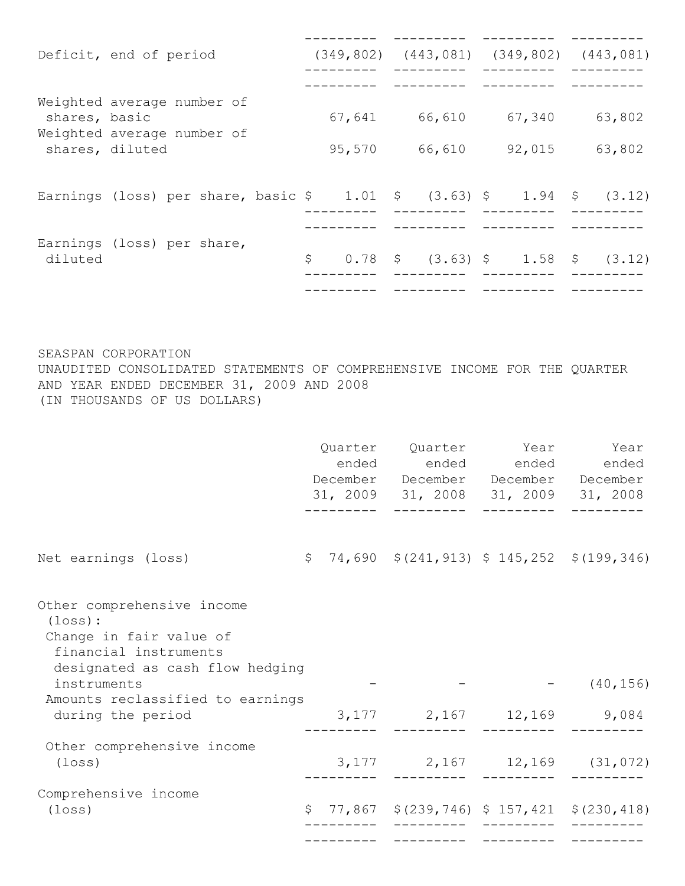|                 | Deficit, end of period                                                                                           |  |        | $(349, 802)$ $(443, 081)$ $(349, 802)$ $(443, 081)$ |        |        |
|-----------------|------------------------------------------------------------------------------------------------------------------|--|--------|-----------------------------------------------------|--------|--------|
|                 |                                                                                                                  |  |        |                                                     |        |        |
| shares, basic   | Weighted average number of                                                                                       |  | 67,641 | 66,610                                              | 67,340 | 63,802 |
| shares, diluted | Weighted average number of                                                                                       |  | 95,570 | 66,610                                              | 92,015 | 63,802 |
|                 |                                                                                                                  |  |        |                                                     |        |        |
|                 | Earnings (loss) per share, basic $\frac{1}{2}$ 1.01 $\frac{1}{2}$ (3.63) $\frac{1}{2}$ 1.94 $\frac{1}{2}$ (3.12) |  |        |                                                     |        |        |
|                 | Earnings (loss) per share,                                                                                       |  |        |                                                     |        |        |
| diluted         |                                                                                                                  |  | \$     | $0.78$ \$ (3.63) \$ 1.58 \$                         |        | (3.12) |
|                 |                                                                                                                  |  |        |                                                     |        |        |

SEASPAN CORPORATION UNAUDITED CONSOLIDATED STATEMENTS OF COMPREHENSIVE INCOME FOR THE QUARTER AND YEAR ENDED DECEMBER 31, 2009 AND 2008 (IN THOUSANDS OF US DOLLARS)

|                                                                                                                                          |  | Quarter Quarter Year<br>ended ended ended ended<br>December December December December<br>31, 2009 31, 2008 31, 2009 31, 2008 | Year      |
|------------------------------------------------------------------------------------------------------------------------------------------|--|-------------------------------------------------------------------------------------------------------------------------------|-----------|
| Net earnings (loss)                                                                                                                      |  | $\frac{1}{2}$ 74,690 $\frac{1}{2}$ (241,913) $\frac{1}{2}$ 145,252 $\frac{1}{2}$ (199,346)                                    |           |
| Other comprehensive income<br>$(\texttt{loss})$ :<br>Change in fair value of<br>financial instruments<br>designated as cash flow hedging |  |                                                                                                                               |           |
| instruments                                                                                                                              |  |                                                                                                                               | (40, 156) |
| Amounts reclassified to earnings<br>during the period                                                                                    |  | 3, 177 2, 167 12, 169 9, 084                                                                                                  |           |
| Other comprehensive income<br>(loss)                                                                                                     |  | $3,177$ 2,167 12,169 (31,072)                                                                                                 |           |
| Comprehensive income                                                                                                                     |  |                                                                                                                               |           |
| (loss)                                                                                                                                   |  | $$77,867$ $$(239,746)$ $$157,421$ $$(230,418)$                                                                                |           |
|                                                                                                                                          |  |                                                                                                                               |           |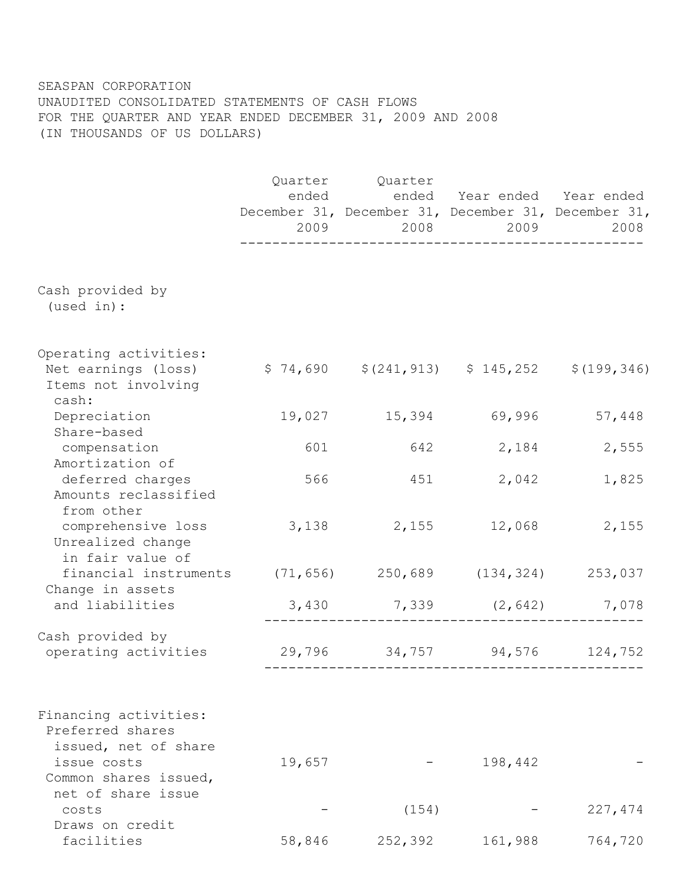#### SEASPAN CORPORATION UNAUDITED CONSOLIDATED STATEMENTS OF CASH FLOWS FOR THE QUARTER AND YEAR ENDED DECEMBER 31, 2009 AND 2008 (IN THOUSANDS OF US DOLLARS)

|                                                                              |        | Quarter Quarter<br>ended ended Year ended Year ended<br>December 31, December 31, December 31, December 31, | 2008 2009     | 2008    |
|------------------------------------------------------------------------------|--------|-------------------------------------------------------------------------------------------------------------|---------------|---------|
| Cash provided by                                                             |        |                                                                                                             |               |         |
| (used in):                                                                   |        |                                                                                                             |               |         |
| Operating activities:<br>Net earnings (loss)<br>Items not involving<br>cash: |        | $$74,690$ $$(241,913)$ $$145,252$ $$(199,346)$                                                              |               |         |
| Depreciation<br>Share-based                                                  | 19,027 |                                                                                                             | 15,394 69,996 | 57,448  |
| compensation<br>Amortization of                                              | 601    |                                                                                                             | 642 2,184     | 2,555   |
| deferred charges<br>Amounts reclassified<br>from other                       | 566    | 451                                                                                                         | 2,042         | 1,825   |
| comprehensive loss<br>Unrealized change<br>in fair value of                  |        | 3,138 2,155 12,068                                                                                          |               | 2,155   |
| financial instruments (71,656) 250,689 (134,324) 253,037<br>Change in assets |        |                                                                                                             |               |         |
| and liabilities                                                              |        | $3,430$ $7,339$ $(2,642)$ $7,078$                                                                           |               |         |
| Cash provided by<br>operating activities                                     |        | 29,796 34,757 94,576 124,752                                                                                |               |         |
| Financing activities:<br>Preferred shares<br>issued, net of share            |        |                                                                                                             |               |         |
| issue costs<br>Common shares issued,<br>net of share issue                   | 19,657 |                                                                                                             | 198,442       |         |
| costs                                                                        |        | (154)                                                                                                       |               | 227,474 |
| Draws on credit<br>facilities                                                | 58,846 | 252,392                                                                                                     | 161,988       | 764,720 |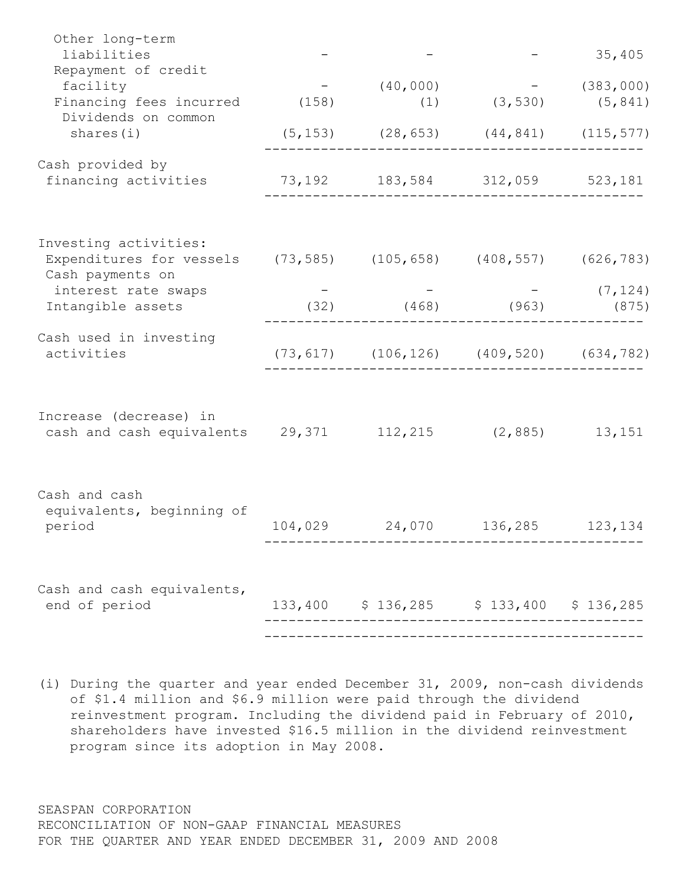| Other long-term<br>liabilities                                                                               |                                                    |                             | 35,405               |
|--------------------------------------------------------------------------------------------------------------|----------------------------------------------------|-----------------------------|----------------------|
| Repayment of credit<br>facility<br>Financing fees incurred (158)<br>Dividends on common                      | (40, 000)                                          | $(1)$ $(3, 530)$ $(5, 841)$ | $-$ (383,000)        |
| shares(i)                                                                                                    | $(5, 153)$ $(28, 653)$ $(44, 841)$ $(115, 577)$    |                             |                      |
| Cash provided by<br>financing activities                                                                     | 73,192 183,584 312,059 523,181                     |                             |                      |
| Investing activities:<br>Expenditures for vessels (73,585) (105,658) (408,557) (626,783)<br>Cash payments on |                                                    |                             |                      |
| interest rate swaps<br>Intangible assets                                                                     | $(32)$ $(468)$ $(963)$                             |                             | $-$ (7,124)<br>(875) |
| Cash used in investing<br>activities                                                                         | $(73, 617)$ $(106, 126)$ $(409, 520)$ $(634, 782)$ |                             |                      |
| Increase (decrease) in<br>cash and cash equivalents 29,371 112,215 (2,885)                                   |                                                    |                             | 13,151               |
| Cash and cash<br>equivalents, beginning of<br>period                                                         | 104,029 24,070 136,285 123,134                     |                             |                      |
| Cash and cash equivalents,<br>end of period                                                                  | 133,400 \$136,285 \$133,400 \$136,285              |                             |                      |
|                                                                                                              |                                                    |                             |                      |

(i) During the quarter and year ended December 31, 2009, non-cash dividends of \$1.4 million and \$6.9 million were paid through the dividend reinvestment program. Including the dividend paid in February of 2010, shareholders have invested \$16.5 million in the dividend reinvestment program since its adoption in May 2008.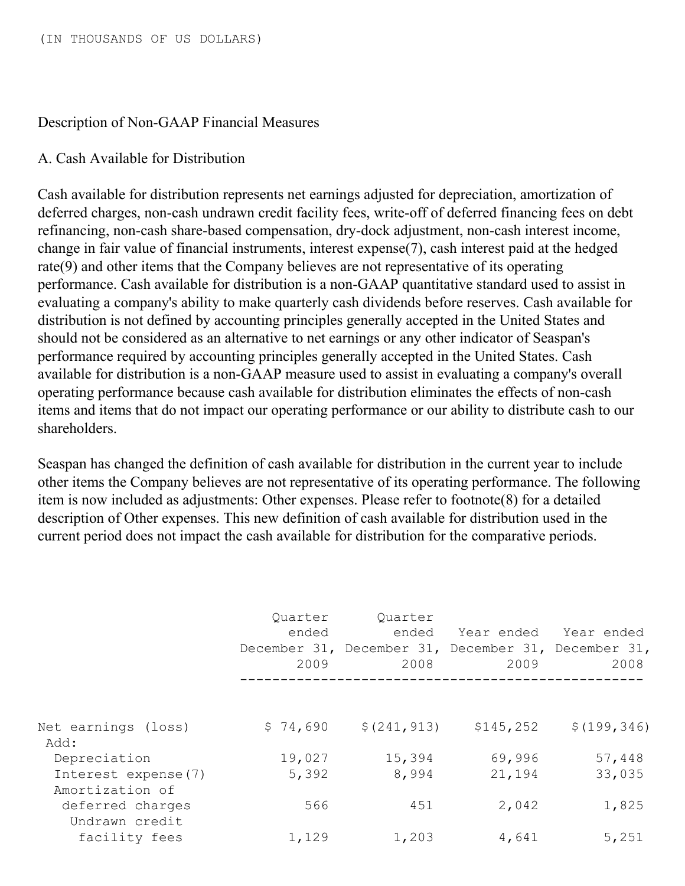#### Description of Non-GAAP Financial Measures

#### A. Cash Available for Distribution

Cash available for distribution represents net earnings adjusted for depreciation, amortization of deferred charges, non-cash undrawn credit facility fees, write-off of deferred financing fees on debt refinancing, non-cash share-based compensation, dry-dock adjustment, non-cash interest income, change in fair value of financial instruments, interest expense(7), cash interest paid at the hedged rate(9) and other items that the Company believes are not representative of its operating performance. Cash available for distribution is a non-GAAP quantitative standard used to assist in evaluating a company's ability to make quarterly cash dividends before reserves. Cash available for distribution is not defined by accounting principles generally accepted in the United States and should not be considered as an alternative to net earnings or any other indicator of Seaspan's performance required by accounting principles generally accepted in the United States. Cash available for distribution is a non-GAAP measure used to assist in evaluating a company's overall operating performance because cash available for distribution eliminates the effects of non-cash items and items that do not impact our operating performance or our ability to distribute cash to our shareholders.

Seaspan has changed the definition of cash available for distribution in the current year to include other items the Company believes are not representative of its operating performance. The following item is now included as adjustments: Other expenses. Please refer to footnote(8) for a detailed description of Other expenses. This new definition of cash available for distribution used in the current period does not impact the cash available for distribution for the comparative periods.

|                                        | Quarter<br>ended<br>2009 | Quarter<br>ended<br>December 31, December 31, December 31, December 31,<br>2008 | 2009       | Year ended Year ended<br>2008 |
|----------------------------------------|--------------------------|---------------------------------------------------------------------------------|------------|-------------------------------|
|                                        |                          |                                                                                 |            |                               |
| Net earnings (loss)<br>Add:            | \$74,690                 | \$(241, 913)                                                                    | \$145, 252 | \$(199, 346)                  |
| Depreciation                           | 19,027                   | 15,394                                                                          | 69,996     | 57,448                        |
| Interest expense(7)<br>Amortization of | 5,392                    | 8,994                                                                           | 21,194     | 33,035                        |
| deferred charges<br>Undrawn credit     | 566                      | 451                                                                             | 2,042      | 1,825                         |
| facility fees                          | 1,129                    | 1,203                                                                           | 4,641      | 5,251                         |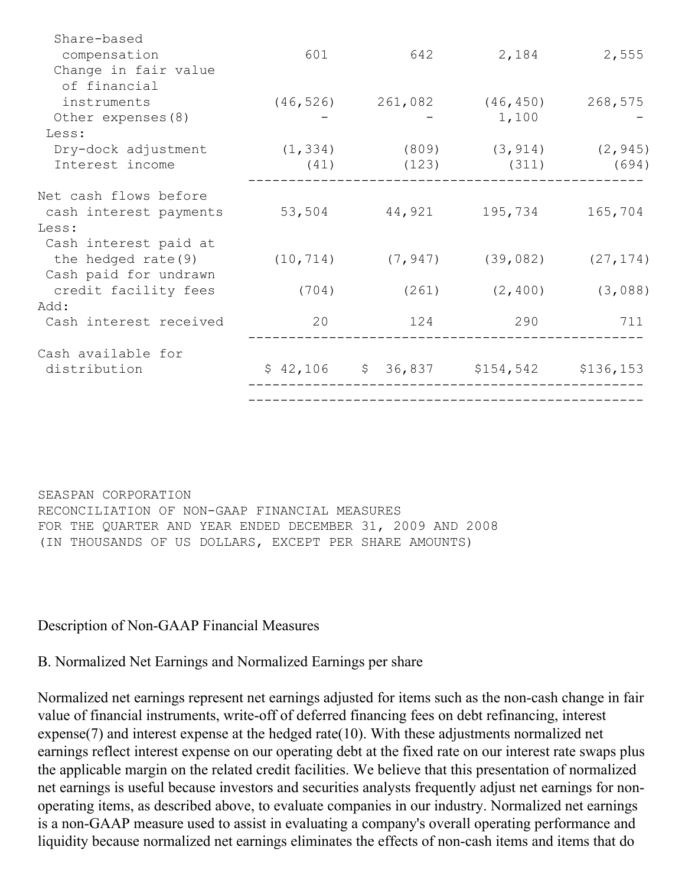| Share-based            |       |                                           |                               |                         |
|------------------------|-------|-------------------------------------------|-------------------------------|-------------------------|
| compensation           | 601   |                                           | 642 2,184 2,555               |                         |
| Change in fair value   |       |                                           |                               |                         |
| of financial           |       |                                           |                               |                         |
| instruments            |       | $(46, 526)$ 261,082                       | (46, 450)                     | 268,575                 |
| Other expenses (8)     |       |                                           | 1,100                         |                         |
| Less:                  |       |                                           |                               |                         |
| Dry-dock adjustment    |       | $(1, 334)$ $(809)$ $(3, 914)$ $(2, 945)$  |                               |                         |
| Interest income        |       | $(41)$ $(123)$                            | (311)                         | (694)                   |
|                        |       |                                           |                               |                         |
| Net cash flows before  |       |                                           |                               |                         |
| cash interest payments |       | 53,504 44,921                             | 195,734                       | 165,704                 |
| Less:                  |       |                                           |                               |                         |
| Cash interest paid at  |       |                                           |                               |                         |
| the hedged rate (9)    |       | $(10, 714)$ $(7, 947)$                    |                               | $(39, 082)$ $(27, 174)$ |
| Cash paid for undrawn  |       |                                           |                               |                         |
| credit facility fees   | (704) |                                           | $(261)$ $(2, 400)$ $(3, 088)$ |                         |
| Add:                   |       |                                           |                               |                         |
| Cash interest received | 20    | 124                                       | 290                           | 711                     |
| Cash available for     |       |                                           |                               |                         |
| distribution           |       | $$42,106$ $$36,837$ $$154,542$ $$136,153$ |                               |                         |
|                        |       |                                           |                               |                         |
|                        |       |                                           |                               |                         |
|                        |       |                                           |                               |                         |

SEASPAN CORPORATION RECONCILIATION OF NON-GAAP FINANCIAL MEASURES FOR THE QUARTER AND YEAR ENDED DECEMBER 31, 2009 AND 2008 (IN THOUSANDS OF US DOLLARS, EXCEPT PER SHARE AMOUNTS)

Description of Non-GAAP Financial Measures

B. Normalized Net Earnings and Normalized Earnings per share

Normalized net earnings represent net earnings adjusted for items such as the non-cash change in fair value of financial instruments, write-off of deferred financing fees on debt refinancing, interest expense(7) and interest expense at the hedged rate(10). With these adjustments normalized net earnings reflect interest expense on our operating debt at the fixed rate on our interest rate swaps plus the applicable margin on the related credit facilities. We believe that this presentation of normalized net earnings is useful because investors and securities analysts frequently adjust net earnings for nonoperating items, as described above, to evaluate companies in our industry. Normalized net earnings is a non-GAAP measure used to assist in evaluating a company's overall operating performance and liquidity because normalized net earnings eliminates the effects of non-cash items and items that do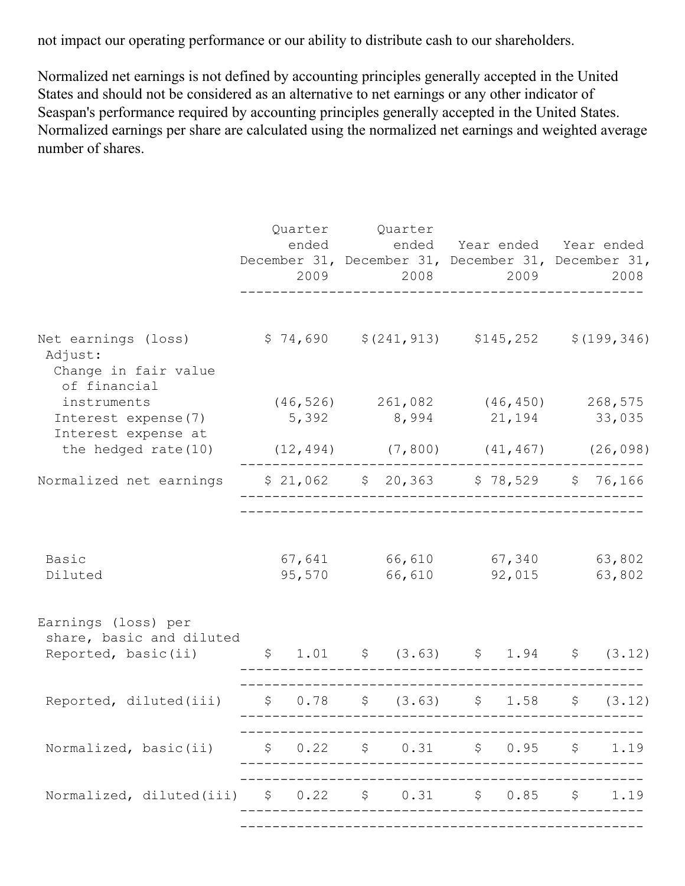not impact our operating performance or our ability to distribute cash to our shareholders.

Normalized net earnings is not defined by accounting principles generally accepted in the United States and should not be considered as an alternative to net earnings or any other indicator of Seaspan's performance required by accounting principles generally accepted in the United States. Normalized earnings per share are calculated using the normalized net earnings and weighted average number of shares.

|                                                                        | ended  |  | Quarter Quarter<br>December 31, December 31, December 31, December 31,<br>2009 — 2009 — 2009 — 2009 — 2009 — 2009 — 2009 — 2009 — 2009 — 2009 — 2009 — 2009 — 2009 — 2009 — 2009 — 2009 — 200 |                                                                                         |               | 2008 2009 |                                                | ended Year ended Year ended<br>2008 |
|------------------------------------------------------------------------|--------|--|-----------------------------------------------------------------------------------------------------------------------------------------------------------------------------------------------|-----------------------------------------------------------------------------------------|---------------|-----------|------------------------------------------------|-------------------------------------|
| Net earnings (loss)<br>Adjust:<br>Change in fair value<br>of financial |        |  | $$74,690 \t$ (241,913) \t$145,252 \t$ (199,346)$                                                                                                                                              |                                                                                         |               |           |                                                |                                     |
| instruments                                                            |        |  |                                                                                                                                                                                               | $(46, 526)$ 261,082 (46,450) 268,575                                                    |               |           |                                                |                                     |
| Interest expense(7)<br>Interest expense at                             |        |  |                                                                                                                                                                                               | 5,392 8,994 21,194 33,035                                                               |               |           |                                                |                                     |
| the hedged rate (10)                                                   |        |  |                                                                                                                                                                                               |                                                                                         |               |           | $(12, 494)$ $(7, 800)$ $(41, 467)$ $(26, 098)$ |                                     |
| Normalized net earnings                                                |        |  |                                                                                                                                                                                               | $$21,062$ $$20,363$ $$78,529$ $$76,166$                                                 |               |           |                                                |                                     |
| Basic                                                                  |        |  |                                                                                                                                                                                               | 67,641 66,610 67,340 63,802                                                             |               |           |                                                |                                     |
| Diluted                                                                | 95,570 |  |                                                                                                                                                                                               |                                                                                         | 66,610 92,015 |           | 63,802                                         |                                     |
| Earnings (loss) per<br>share, basic and diluted                        |        |  |                                                                                                                                                                                               |                                                                                         |               |           |                                                |                                     |
| Reported, basic(ii)                                                    |        |  |                                                                                                                                                                                               | $$1.01$ $$$ $(3.63)$ $$1.94$ $$$ $(3.12)$                                               |               |           |                                                |                                     |
| Reported, diluted(iii) $\qquad$ \$ 0.78 \$ (3.63) \$ 1.58              |        |  |                                                                                                                                                                                               |                                                                                         |               |           | $\varsigma$                                    | (3.12)                              |
| Normalized, basic(ii)                                                  |        |  |                                                                                                                                                                                               | $$0.22$ $$0.31$ $$0.95$ $$$                                                             |               |           |                                                | 1.19                                |
| Normalized, diluted(iii)                                               |        |  |                                                                                                                                                                                               | $\begin{array}{ccccccccccccc}\n\xi & 0.22 & \xi & 0.31 & \xi & 0.85 & \xi\n\end{array}$ |               |           |                                                | 1.19                                |
|                                                                        |        |  |                                                                                                                                                                                               |                                                                                         |               |           |                                                |                                     |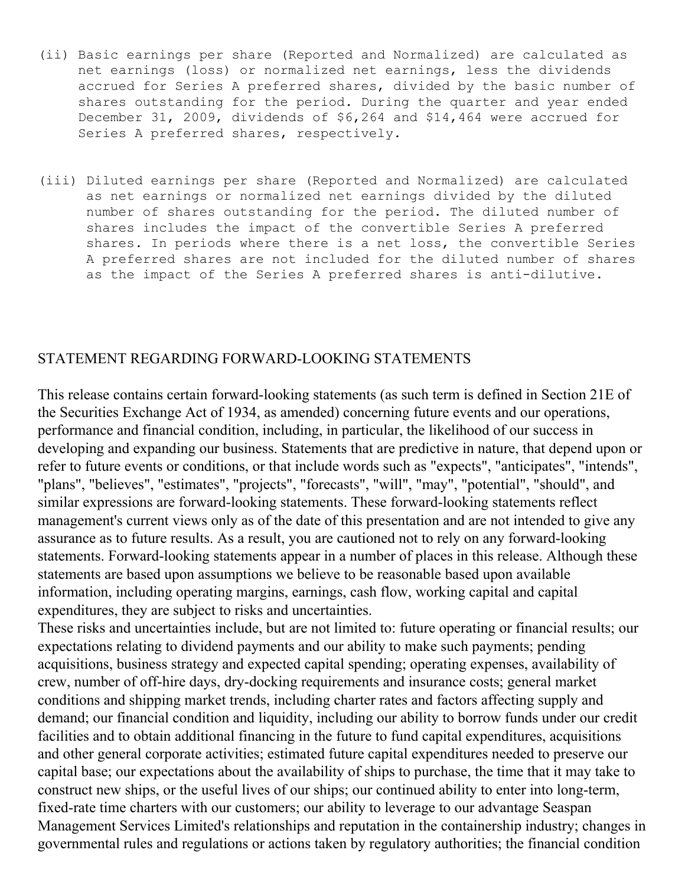- (ii) Basic earnings per share (Reported and Normalized) are calculated as net earnings (loss) or normalized net earnings, less the dividends accrued for Series A preferred shares, divided by the basic number of shares outstanding for the period. During the quarter and year ended December 31, 2009, dividends of \$6,264 and \$14,464 were accrued for Series A preferred shares, respectively.
- (iii) Diluted earnings per share (Reported and Normalized) are calculated as net earnings or normalized net earnings divided by the diluted number of shares outstanding for the period. The diluted number of shares includes the impact of the convertible Series A preferred shares. In periods where there is a net loss, the convertible Series A preferred shares are not included for the diluted number of shares as the impact of the Series A preferred shares is anti-dilutive.

#### STATEMENT REGARDING FORWARD-LOOKING STATEMENTS

This release contains certain forward-looking statements (as such term is defined in Section 21E of the Securities Exchange Act of 1934, as amended) concerning future events and our operations, performance and financial condition, including, in particular, the likelihood of our success in developing and expanding our business. Statements that are predictive in nature, that depend upon or refer to future events or conditions, or that include words such as "expects", "anticipates", "intends", "plans", "believes", "estimates", "projects", "forecasts", "will", "may", "potential", "should", and similar expressions are forward-looking statements. These forward-looking statements reflect management's current views only as of the date of this presentation and are not intended to give any assurance as to future results. As a result, you are cautioned not to rely on any forward-looking statements. Forward-looking statements appear in a number of places in this release. Although these statements are based upon assumptions we believe to be reasonable based upon available information, including operating margins, earnings, cash flow, working capital and capital expenditures, they are subject to risks and uncertainties.

These risks and uncertainties include, but are not limited to: future operating or financial results; our expectations relating to dividend payments and our ability to make such payments; pending acquisitions, business strategy and expected capital spending; operating expenses, availability of crew, number of off-hire days, dry-docking requirements and insurance costs; general market conditions and shipping market trends, including charter rates and factors affecting supply and demand; our financial condition and liquidity, including our ability to borrow funds under our credit facilities and to obtain additional financing in the future to fund capital expenditures, acquisitions and other general corporate activities; estimated future capital expenditures needed to preserve our capital base; our expectations about the availability of ships to purchase, the time that it may take to construct new ships, or the useful lives of our ships; our continued ability to enter into long-term, fixed-rate time charters with our customers; our ability to leverage to our advantage Seaspan Management Services Limited's relationships and reputation in the containership industry; changes in governmental rules and regulations or actions taken by regulatory authorities; the financial condition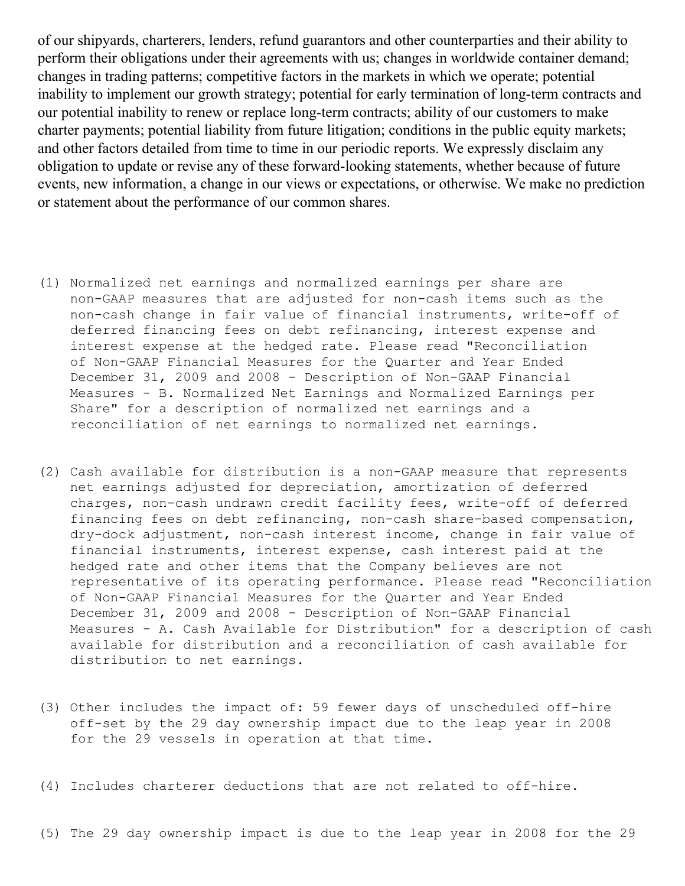of our shipyards, charterers, lenders, refund guarantors and other counterparties and their ability to perform their obligations under their agreements with us; changes in worldwide container demand; changes in trading patterns; competitive factors in the markets in which we operate; potential inability to implement our growth strategy; potential for early termination of long-term contracts and our potential inability to renew or replace long-term contracts; ability of our customers to make charter payments; potential liability from future litigation; conditions in the public equity markets; and other factors detailed from time to time in our periodic reports. We expressly disclaim any obligation to update or revise any of these forward-looking statements, whether because of future events, new information, a change in our views or expectations, or otherwise. We make no prediction or statement about the performance of our common shares.

- (1) Normalized net earnings and normalized earnings per share are non-GAAP measures that are adjusted for non-cash items such as the non-cash change in fair value of financial instruments, write-off of deferred financing fees on debt refinancing, interest expense and interest expense at the hedged rate. Please read "Reconciliation of Non-GAAP Financial Measures for the Quarter and Year Ended December 31, 2009 and 2008 - Description of Non-GAAP Financial Measures - B. Normalized Net Earnings and Normalized Earnings per Share" for a description of normalized net earnings and a reconciliation of net earnings to normalized net earnings.
- (2) Cash available for distribution is a non-GAAP measure that represents net earnings adjusted for depreciation, amortization of deferred charges, non-cash undrawn credit facility fees, write-off of deferred financing fees on debt refinancing, non-cash share-based compensation, dry-dock adjustment, non-cash interest income, change in fair value of financial instruments, interest expense, cash interest paid at the hedged rate and other items that the Company believes are not representative of its operating performance. Please read "Reconciliation of Non-GAAP Financial Measures for the Quarter and Year Ended December 31, 2009 and 2008 - Description of Non-GAAP Financial Measures - A. Cash Available for Distribution" for a description of cash available for distribution and a reconciliation of cash available for distribution to net earnings.
- (3) Other includes the impact of: 59 fewer days of unscheduled off-hire off-set by the 29 day ownership impact due to the leap year in 2008 for the 29 vessels in operation at that time.

(4) Includes charterer deductions that are not related to off-hire.

(5) The 29 day ownership impact is due to the leap year in 2008 for the 29